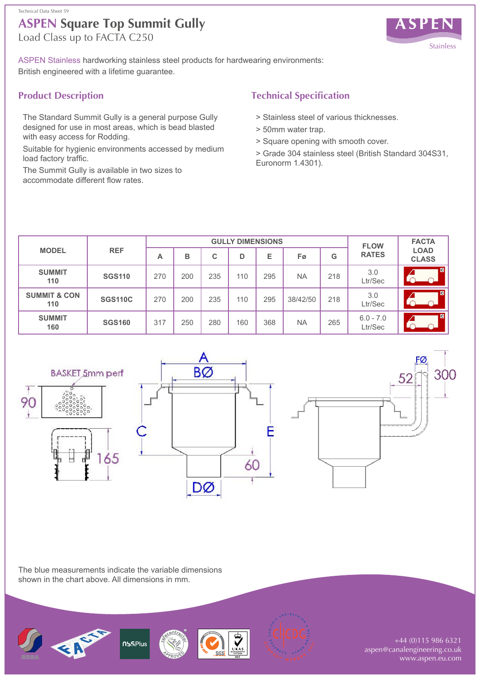

ASPEN Stainless hardworking stainless steel products for hardwearing environments: British engineered with a lifetime guarantee.

### **Product Description**

The Standard Summit Gully is a general purpose Gully designed for use in most areas, which is bead blasted with easy access for Rodding.

Suitable for hygienic environments accessed by medium load factory traffic.

The Summit Gully is available in two sizes to accommodate different flow rates.

# **Technical Specification**

- > Stainless steel of various thicknesses.
- > 50mm water trap.
- > Square opening with smooth cover.
- > Grade 304 stainless steel (British Standard 304S31, Euronorm 1.4301).

| <b>MODEL</b>                   | <b>REF</b>     | <b>GULLY DIMENSIONS</b> |     |     |     |     |           |     | <b>FLOW</b>            | <b>FACTA</b>                |
|--------------------------------|----------------|-------------------------|-----|-----|-----|-----|-----------|-----|------------------------|-----------------------------|
|                                |                | A                       | в   | С   | D   | E   | Fø        | G   | <b>RATES</b>           | <b>LOAD</b><br><b>CLASS</b> |
| <b>SUMMIT</b><br>110           | <b>SGS110</b>  | 270                     | 200 | 235 | 110 | 295 | <b>NA</b> | 218 | 3.0<br>Ltr/Sec         | $\blacksquare$              |
| <b>SUMMIT &amp; CON</b><br>110 | <b>SGS110C</b> | 270                     | 200 | 235 | 110 | 295 | 38/42/50  | 218 | 3.0<br>Ltr/Sec         | $\blacksquare$              |
| <b>SUMMIT</b><br>160           | <b>SGS160</b>  | 317                     | 250 | 280 | 160 | 368 | <b>NA</b> | 265 | $6.0 - 7.0$<br>Ltr/Sec | <b>C</b>                    |



The blue measurements indicate the variable dimensions shown in the chart above. All dimensions in mm.





+44 (0)115 986 6321 aspen@canalengineering.co.uk www.aspen.eu.com